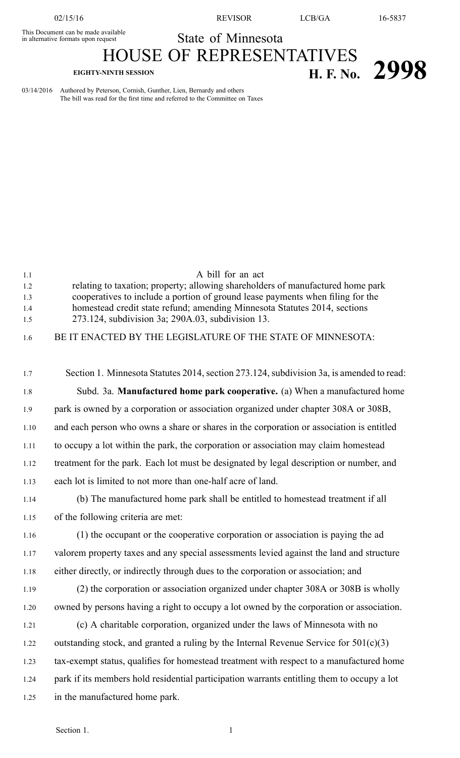This Document can be made available

State of Minnesota HOUSE OF REPRESENTATIVES

## **EIGHTY-NINTH SESSION H. F. No. 2998**

03/14/2016 Authored by Peterson, Cornish, Gunther, Lien, Bernardy and others The bill was read for the first time and referred to the Committee on Taxes

| 1.1<br>1.2 | A bill for an act<br>relating to taxation; property; allowing shareholders of manufactured home park |
|------------|------------------------------------------------------------------------------------------------------|
| 1.3        | cooperatives to include a portion of ground lease payments when filing for the                       |
| 1.4        | homestead credit state refund; amending Minnesota Statutes 2014, sections                            |
| 1.5        | 273.124, subdivision 3a; 290A.03, subdivision 13.                                                    |
| 1.6        | BE IT ENACTED BY THE LEGISLATURE OF THE STATE OF MINNESOTA:                                          |
|            |                                                                                                      |
| 1.7        | Section 1. Minnesota Statutes 2014, section 273.124, subdivision 3a, is amended to read:             |
| 1.8        | Subd. 3a. Manufactured home park cooperative. (a) When a manufactured home                           |
| 1.9        | park is owned by a corporation or association organized under chapter 308A or 308B,                  |
| 1.10       | and each person who owns a share or shares in the corporation or association is entitled             |
| 1.11       | to occupy a lot within the park, the corporation or association may claim homestead                  |
| 1.12       | treatment for the park. Each lot must be designated by legal description or number, and              |
| 1.13       | each lot is limited to not more than one-half acre of land.                                          |
| 1.14       | (b) The manufactured home park shall be entitled to homestead treatment if all                       |
| 1.15       | of the following criteria are met:                                                                   |
| 1.16       | (1) the occupant or the cooperative corporation or association is paying the ad                      |
| 1.17       | valorem property taxes and any special assessments levied against the land and structure             |
| 1.18       | either directly, or indirectly through dues to the corporation or association; and                   |
| 1.19       | (2) the corporation or association organized under chapter 308A or 308B is wholly                    |
| 1.20       | owned by persons having a right to occupy a lot owned by the corporation or association.             |
| 1.21       | (c) A charitable corporation, organized under the laws of Minnesota with no                          |
| 1.22       | outstanding stock, and granted a ruling by the Internal Revenue Service for $501(c)(3)$              |
| 1.23       | tax-exempt status, qualifies for homestead treatment with respect to a manufactured home             |
| 1.24       | park if its members hold residential participation warrants entitling them to occupy a lot           |
| 1.25       | in the manufactured home park.                                                                       |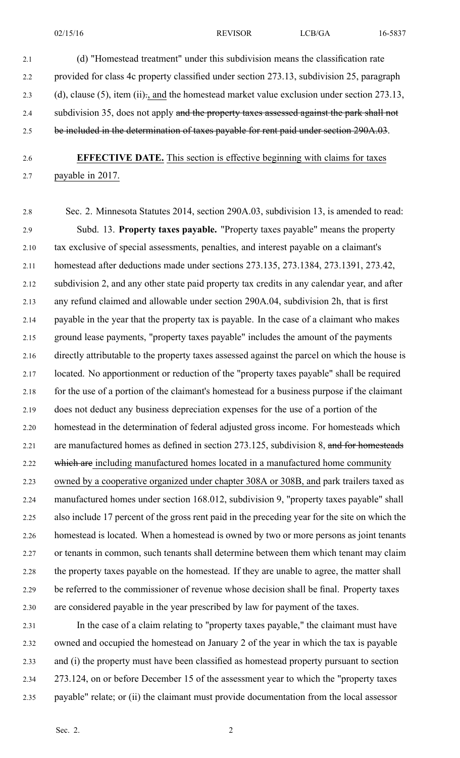2.1 (d) "Homestead treatment" under this subdivision means the classification rate 2.2 provided for class 4c property classified under section 273.13, subdivision 25, paragraph 2.3 (d), clause (5), item (ii)., and the homestead market value exclusion under section 273.13, 2.4 subdivision 35, does not apply and the property taxes assessed against the park shall not 2.5 be included in the determination of taxes payable for rent paid under section 290A.03.

## 2.6 **EFFECTIVE DATE.** This section is effective beginning with claims for taxes 2.7 payable in 2017.

2.8 Sec. 2. Minnesota Statutes 2014, section 290A.03, subdivision 13, is amended to read: 2.9 Subd. 13. **Property taxes payable.** "Property taxes payable" means the property 2.10 tax exclusive of special assessments, penalties, and interest payable on <sup>a</sup> claimant's 2.11 homestead after deductions made under sections 273.135, 273.1384, 273.1391, 273.42, 2.12 subdivision 2, and any other state paid property tax credits in any calendar year, and after 2.13 any refund claimed and allowable under section 290A.04, subdivision 2h, that is first 2.14 payable in the year that the property tax is payable. In the case of <sup>a</sup> claimant who makes 2.15 ground lease payments, "property taxes payable" includes the amount of the payments 2.16 directly attributable to the property taxes assessed against the parcel on which the house is 2.17 located. No apportionment or reduction of the "property taxes payable" shall be required 2.18 for the use of <sup>a</sup> portion of the claimant's homestead for <sup>a</sup> business purpose if the claimant 2.19 does not deduct any business depreciation expenses for the use of <sup>a</sup> portion of the 2.20 homestead in the determination of federal adjusted gross income. For homesteads which 2.21 are manufactured homes as defined in section 273.125, subdivision 8, and for homesteads 2.22 which are including manufactured homes located in a manufactured home community 2.23 owned by <sup>a</sup> cooperative organized under chapter 308A or 308B, and park trailers taxed as 2.24 manufactured homes under section 168.012, subdivision 9, "property taxes payable" shall 2.25 also include 17 percen<sup>t</sup> of the gross rent paid in the preceding year for the site on which the 2.26 homestead is located. When <sup>a</sup> homestead is owned by two or more persons as joint tenants 2.27 or tenants in common, such tenants shall determine between them which tenant may claim 2.28 the property taxes payable on the homestead. If they are unable to agree, the matter shall 2.29 be referred to the commissioner of revenue whose decision shall be final. Property taxes 2.30 are considered payable in the year prescribed by law for paymen<sup>t</sup> of the taxes.

2.31 In the case of <sup>a</sup> claim relating to "property taxes payable," the claimant must have 2.32 owned and occupied the homestead on January 2 of the year in which the tax is payable 2.33 and (i) the property must have been classified as homestead property pursuan<sup>t</sup> to section 2.34 273.124, on or before December 15 of the assessment year to which the "property taxes 2.35 payable" relate; or (ii) the claimant must provide documentation from the local assessor